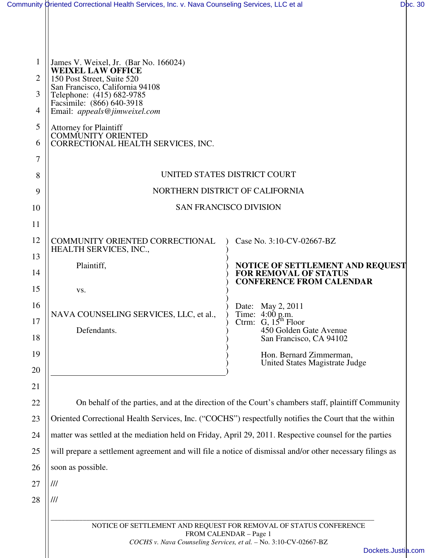|                | Community Oriented Correctional Health Services, Inc. v. Nava Counseling Services, LLC et al                              |                                                                                                   | Doc. 30 |
|----------------|---------------------------------------------------------------------------------------------------------------------------|---------------------------------------------------------------------------------------------------|---------|
|                |                                                                                                                           |                                                                                                   |         |
| 1              | James V. Weixel, Jr. (Bar No. 166024)                                                                                     |                                                                                                   |         |
| $\overline{2}$ | <b>WEIXEL LAW OFFICE</b><br>150 Post Street, Suite 520                                                                    |                                                                                                   |         |
| 3              | San Francisco, California 94108<br>Telephone: (415) 682-9785<br>Facsimile: (866) 640-3918<br>Email: appeals@jimweixel.com |                                                                                                   |         |
| 4              |                                                                                                                           |                                                                                                   |         |
| 5<br>6         | <b>Attorney for Plaintiff</b><br><b>COMMUNITY ORIENTED</b><br>CORRECTIONAL HEALTH SERVICES, INC.                          |                                                                                                   |         |
| $\overline{7}$ |                                                                                                                           |                                                                                                   |         |
| 8              | UNITED STATES DISTRICT COURT                                                                                              |                                                                                                   |         |
| 9              | NORTHERN DISTRICT OF CALIFORNIA                                                                                           |                                                                                                   |         |
| 10             | <b>SAN FRANCISCO DIVISION</b>                                                                                             |                                                                                                   |         |
| 11             |                                                                                                                           |                                                                                                   |         |
| 12             | COMMUNITY ORIENTED CORRECTIONAL<br>HEALTH SERVICES, INC.,                                                                 | Case No. 3:10-CV-02667-BZ                                                                         |         |
| 13             | Plaintiff,                                                                                                                | NOTICE OF SETTLEMENT AND REQUEST                                                                  |         |
| 14             |                                                                                                                           | <b>FOR REMOVAL OF STATUS</b><br><b>CONFERENCE FROM CALENDAR</b>                                   |         |
| 15             | VS.                                                                                                                       |                                                                                                   |         |
| 16             | NAVA COUNSELING SERVICES, LLC, et al.,                                                                                    | Date: May 2, 2011<br>Time: 4:00 p.m.                                                              |         |
| 17             | Defendants.                                                                                                               | Ctrm: $G, 15th$ Floor<br>450 Golden Gate Avenue                                                   |         |
| 18             |                                                                                                                           | San Francisco, CA 94102                                                                           |         |
| 19             |                                                                                                                           | Hon. Bernard Zimmerman,<br>United States Magistrate Judge                                         |         |
| 20             |                                                                                                                           |                                                                                                   |         |
| 21<br>22       |                                                                                                                           | On behalf of the parties, and at the direction of the Court's chambers staff, plaintiff Community |         |
| 23             | Oriented Correctional Health Services, Inc. ("COCHS") respectfully notifies the Court that the within                     |                                                                                                   |         |
| 24             | matter was settled at the mediation held on Friday, April 29, 2011. Respective counsel for the parties                    |                                                                                                   |         |
| 25             | will prepare a settlement agreement and will file a notice of dismissal and/or other necessary filings as                 |                                                                                                   |         |
| 26             | soon as possible.                                                                                                         |                                                                                                   |         |
| 27             | ///                                                                                                                       |                                                                                                   |         |
| 28             | ///                                                                                                                       |                                                                                                   |         |
|                |                                                                                                                           |                                                                                                   |         |
|                | NOTICE OF SETTLEMENT AND REQUEST FOR REMOVAL OF STATUS CONFERENCE<br>FROM CALENDAR - Page 1                               |                                                                                                   |         |
|                |                                                                                                                           | COCHS v. Nava Counseling Services, et al. - No. 3:10-CV-02667-BZ                                  |         |
|                |                                                                                                                           | Dockets.Justia.com                                                                                |         |